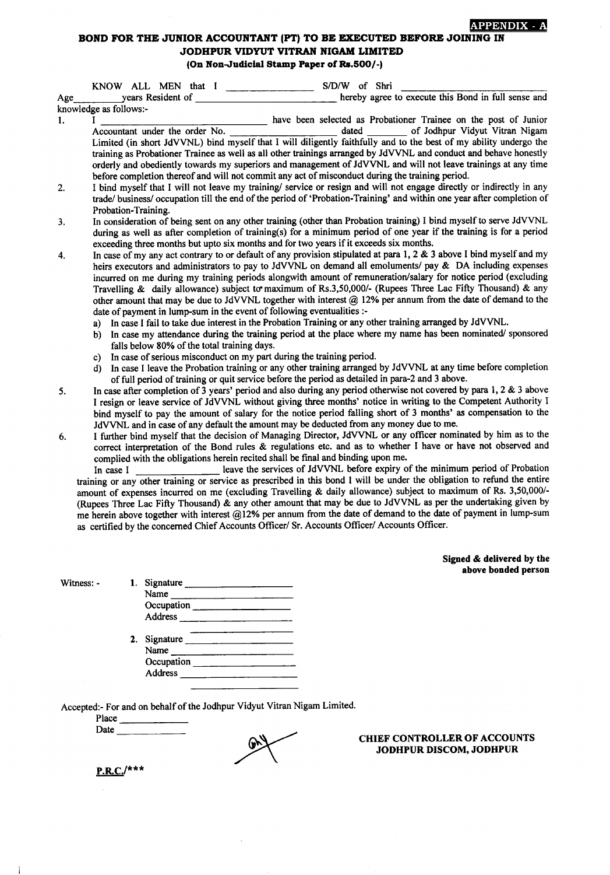## APPENDIX - A

## BOND FOR THE JUNIOR ACCOUNTANT (PT) TO BE EXECUTED BEFORE JOINING IN JODHPUR VIDYUT VITRAN NIGAM LIMITED (On Non-Judicial Stamp Paper of Rs.500/-)

|     | S/D/W of Shri<br>KNOW ALL MEN that I                                                                                                                                                                                                                                                                                                                                                                                                                                                                                                                                                                                                                                                                                                                                                                                                                                                                                                                                                                                                                                                                                                                                                                                                                 |
|-----|------------------------------------------------------------------------------------------------------------------------------------------------------------------------------------------------------------------------------------------------------------------------------------------------------------------------------------------------------------------------------------------------------------------------------------------------------------------------------------------------------------------------------------------------------------------------------------------------------------------------------------------------------------------------------------------------------------------------------------------------------------------------------------------------------------------------------------------------------------------------------------------------------------------------------------------------------------------------------------------------------------------------------------------------------------------------------------------------------------------------------------------------------------------------------------------------------------------------------------------------------|
| Age | hereby agree to execute this Bond in full sense and<br>years Resident of                                                                                                                                                                                                                                                                                                                                                                                                                                                                                                                                                                                                                                                                                                                                                                                                                                                                                                                                                                                                                                                                                                                                                                             |
|     | knowledge as follows:-                                                                                                                                                                                                                                                                                                                                                                                                                                                                                                                                                                                                                                                                                                                                                                                                                                                                                                                                                                                                                                                                                                                                                                                                                               |
| 1.  | have been selected as Probationer Trainee on the post of Junior<br>Accountant under the order No.<br>dated of Jodhpur Vidyut Vitran Nigam<br>Limited (in short JdVVNL) bind myself that I will diligently faithfully and to the best of my ability undergo the<br>training as Probationer Trainee as well as all other trainings arranged by JdVVNL and conduct and behave honestly<br>orderly and obediently towards my superiors and management of JdVVNL and will not leave trainings at any time<br>before completion thereof and will not commit any act of misconduct during the training period.                                                                                                                                                                                                                                                                                                                                                                                                                                                                                                                                                                                                                                              |
| 2.  | I bind myself that I will not leave my training/ service or resign and will not engage directly or indirectly in any<br>trade/ business/ occupation till the end of the period of 'Probation-Training' and within one year after completion of<br>Probation-Training.                                                                                                                                                                                                                                                                                                                                                                                                                                                                                                                                                                                                                                                                                                                                                                                                                                                                                                                                                                                |
| 3.  | In consideration of being sent on any other training (other than Probation training) I bind myself to serve JdVVNL<br>during as well as after completion of training(s) for a minimum period of one year if the training is for a period<br>exceeding three months but upto six months and for two years if it exceeds six months.                                                                                                                                                                                                                                                                                                                                                                                                                                                                                                                                                                                                                                                                                                                                                                                                                                                                                                                   |
| 4.  | In case of my any act contrary to or default of any provision stipulated at para 1, 2 & 3 above I bind myself and my<br>heirs executors and administrators to pay to JdVVNL on demand all emoluments/ pay & DA including expenses<br>incurred on me during my training periods alongwith amount of remuneration/salary for notice period (excluding<br>Travelling & daily allowance) subject to maximum of Rs.3,50,000/- (Rupees Three Lac Fifty Thousand) & any<br>other amount that may be due to JdVVNL together with interest @ 12% per annum from the date of demand to the<br>date of payment in lump-sum in the event of following eventualities :-<br>In case I fail to take due interest in the Probation Training or any other training arranged by JdVVNL.<br>a)<br>In case my attendance during the training period at the place where my name has been nominated/sponsored<br>b)<br>falls below 80% of the total training days.<br>In case of serious misconduct on my part during the training period.<br>c)<br>In case I leave the Probation training or any other training arranged by JdVVNL at any time before completion<br>d)<br>of full period of training or quit service before the period as detailed in para-2 and 3 above. |
| 5.  | In case after completion of 3 years' period and also during any period otherwise not covered by para 1, 2 & 3 above<br>I resign or leave service of JdVVNL without giving three months' notice in writing to the Competent Authority I<br>bind myself to pay the amount of salary for the notice period falling short of 3 months' as compensation to the<br>JdVVNL and in case of any default the amount may be deducted from any money due to me.                                                                                                                                                                                                                                                                                                                                                                                                                                                                                                                                                                                                                                                                                                                                                                                                  |
| 6.  | I further bind myself that the decision of Managing Director, JdVVNL or any officer nominated by him as to the<br>correct interpretation of the Bond rules & regulations etc. and as to whether I have or have not observed and<br>complied with the obligations herein recited shall be final and binding upon me.<br>leave the services of JdVVNL before expiry of the minimum period of Probation<br>In case I<br>training or any other training or service as prescribed in this bond I will be under the obligation to refund the entire<br>amount of expenses incurred on me (excluding Travelling & daily allowance) subject to maximum of Rs. 3,50,000/-<br>(Rupees Three Lac Fifty Thousand) & any other amount that may be due to JdVVNL as per the undertaking given by<br>me herein above together with interest @12% per annum from the date of demand to the date of payment in lump-sum<br>as certified by the concerned Chief Accounts Officer/ Sr. Accounts Officer/ Accounts Officer.                                                                                                                                                                                                                                              |

Signed & delivered by the above bonded person

Witness: -

Ì

| Signature    |  |
|--------------|--|
| Name         |  |
| Occupation   |  |
| Address      |  |
|              |  |
| 2. Signature |  |
| Name         |  |
| Occupation   |  |
| Address      |  |

Accepted:- For and on behalf of the Jodhpur Vidyut Vitran Nigam Limited.

Place Date

ay

CHIEF CONTROLLER OF ACCOUNTS JODHPUR DISCOM, JODHPUR

 $P.R.C.$ /\*\*\*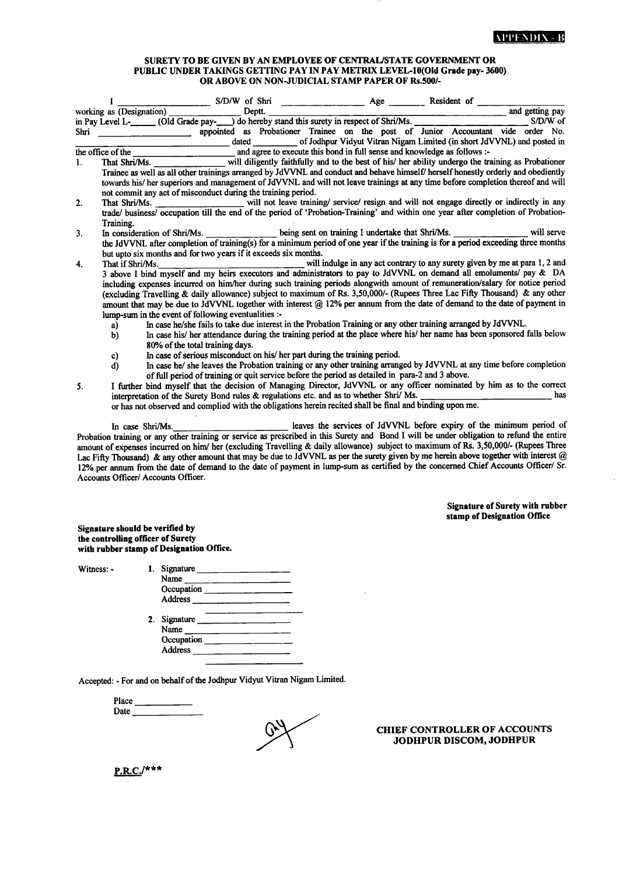## SURETY TO BE GIVEN BY AN EMPLOYEE OF CENTRAUSTATE GOVERNMENT OR PUBLIC UNDER TAKINGS GETTING PAY IN PAY METRIX LEVEL-10(Old Grade pay-3600) OR ABOVE ON NON-JUDICIAL STAMP PAPER OF Rs.500/-

|      |                                                                                                                                    |                                                                                           |        |  | $S/D/W$ of Shri $\qquad \qquad \qquad \text{Age} \qquad \qquad$ | Resident of                                                                                                                       |                 |
|------|------------------------------------------------------------------------------------------------------------------------------------|-------------------------------------------------------------------------------------------|--------|--|-----------------------------------------------------------------|-----------------------------------------------------------------------------------------------------------------------------------|-----------------|
|      | working as (Designation)                                                                                                           |                                                                                           | Deptt. |  |                                                                 |                                                                                                                                   | and getting pay |
|      |                                                                                                                                    |                                                                                           |        |  |                                                                 | in Pay Level L- (Old Grade pay- ) do hereby stand this surety in respect of Shri/Ms.                                              |                 |
| Shri |                                                                                                                                    |                                                                                           |        |  |                                                                 | appointed as Probationer Trainee on the post of Junior Accountant vide order No.                                                  |                 |
|      |                                                                                                                                    |                                                                                           |        |  |                                                                 | dated of Jodhpur Vidyut Vitran Nigam Limited (in short JdVVNL) and posted in                                                      |                 |
|      | the office of the                                                                                                                  |                                                                                           |        |  |                                                                 | and agree to execute this bond in full sense and knowledge as follows :-                                                          |                 |
| 1.   |                                                                                                                                    |                                                                                           |        |  |                                                                 |                                                                                                                                   |                 |
|      |                                                                                                                                    |                                                                                           |        |  |                                                                 | Trainee as well as all other trainings arranged by JdVVNL and conduct and behave himself/ herself honestly orderly and obediently |                 |
|      |                                                                                                                                    |                                                                                           |        |  |                                                                 | towards his/ her superiors and management of JdVVNL and will not leave trainings at any time before completion thereof and will   |                 |
|      |                                                                                                                                    | not commit any act of misconduct during the training period.                              |        |  |                                                                 |                                                                                                                                   |                 |
| 2.   |                                                                                                                                    |                                                                                           |        |  |                                                                 | That Shri/Ms. ________________________ will not leave training/ service/ resign and will not engage directly or indirectly in any |                 |
|      |                                                                                                                                    |                                                                                           |        |  |                                                                 | trade/ business/ occupation till the end of the period of 'Probation-Training' and within one year after completion of Probation- |                 |
|      | Training.                                                                                                                          |                                                                                           |        |  |                                                                 |                                                                                                                                   |                 |
| 3.   |                                                                                                                                    |                                                                                           |        |  |                                                                 | In consideration of Shri/Ms. ________________ being sent on training I undertake that Shri/Ms. _______________________ will serve |                 |
|      | the JdVVNL after completion of training(s) for a minimum period of one year if the training is for a period exceeding three months |                                                                                           |        |  |                                                                 |                                                                                                                                   |                 |
|      |                                                                                                                                    | but upto six months and for two years if it exceeds six months.                           |        |  |                                                                 |                                                                                                                                   |                 |
| 4.   | That if Shri/Ms.                                                                                                                   |                                                                                           |        |  |                                                                 | will indulge in any act contrary to any surety given by me at para 1, 2 and                                                       |                 |
|      |                                                                                                                                    |                                                                                           |        |  |                                                                 | 3 above I bind myself and my heirs executors and administrators to pay to JdVVNL on demand all emoluments/ pay & DA               |                 |
|      |                                                                                                                                    |                                                                                           |        |  |                                                                 | including expenses incurred on him/her during such training periods alongwith amount of remuneration/salary for notice period     |                 |
|      |                                                                                                                                    |                                                                                           |        |  |                                                                 | (excluding Travelling & daily allowance) subject to maximum of Rs. 3,50,000/- (Rupees Three Lac Fifty Thousand) & any other       |                 |
|      |                                                                                                                                    |                                                                                           |        |  |                                                                 | amount that may be due to JdVVNL together with interest @ 12% per annum from the date of demand to the date of payment in         |                 |
|      |                                                                                                                                    | lump-sum in the event of following eventualities :-                                       |        |  |                                                                 |                                                                                                                                   |                 |
|      | a)                                                                                                                                 |                                                                                           |        |  |                                                                 | In case he/she fails to take due interest in the Probation Training or any other training arranged by JdVVNL.                     |                 |
|      | b)                                                                                                                                 |                                                                                           |        |  |                                                                 | In case his/ her attendance during the training period at the place where his/ her name has been sponsored falls below            |                 |
|      |                                                                                                                                    | 80% of the total training days.                                                           |        |  |                                                                 |                                                                                                                                   |                 |
|      | c)                                                                                                                                 | In case of serious misconduct on his/her part during the training period.                 |        |  |                                                                 |                                                                                                                                   |                 |
|      | d)                                                                                                                                 |                                                                                           |        |  |                                                                 | In case he/ she leaves the Probation training or any other training arranged by JdVVNL at any time before completion              |                 |
|      |                                                                                                                                    |                                                                                           |        |  |                                                                 | of full period of training or quit service before the period as detailed in para-2 and 3 above.                                   |                 |
| 5.   |                                                                                                                                    |                                                                                           |        |  |                                                                 | I further bind myself that the decision of Managing Director, JdVVNL or any officer nominated by him as to the correct            | has             |
|      |                                                                                                                                    | interpretation of the Surety Bond rules $\&$ regulations etc. and as to whether Shri/ Ms. |        |  |                                                                 |                                                                                                                                   |                 |
|      |                                                                                                                                    |                                                                                           |        |  |                                                                 | or has not observed and complied with the obligations herein recited shall be final and binding upon me.                          |                 |
|      |                                                                                                                                    |                                                                                           |        |  |                                                                 | leaves the services of JdVVNL before expiry of the minimum period of                                                              |                 |
|      |                                                                                                                                    | In case Shri/Ms.                                                                          |        |  |                                                                 |                                                                                                                                   |                 |

Probation training or any other training or service as prescribed in this Surety and Bond I will be under obligation to refund the entire amount of expenses incurred on him/ her (excluding Travelling & daily allowance) subject to maximum of Rs. 3,50,000/- (Rupees Three Lac Fifty Thousand) & any other amount that may be due to JdVVNL as per the surety given by me herein above together with interest @ 12% per annum from the date of demand to the date of payment in lump-sum as certified by the concerned Chief Accounts Officer/ Sr. Accounts Oflicer/ Accounts OfIicer.

> Signature of Surety with rubber stamp of Designation Office

Signature should be verified by the controlling officer of Surety with rubber stamp of Designation Office.

Witness: -

| Signature      |                          |
|----------------|--------------------------|
| Name           |                          |
|                |                          |
| Address        |                          |
| 2. Signature   |                          |
| Name           |                          |
|                |                          |
| <b>Address</b> |                          |
|                | Occupation<br>Occupation |

Accepted: - For and on behalf of the Jodhpur Vidyut Vitan Nigam Limited.

Place Date

CHIEF CONTROLLER OF ACCOUNTS JODHPUR DISCOM, JODHPUR

 $P.R.C.$ /\*\*\*